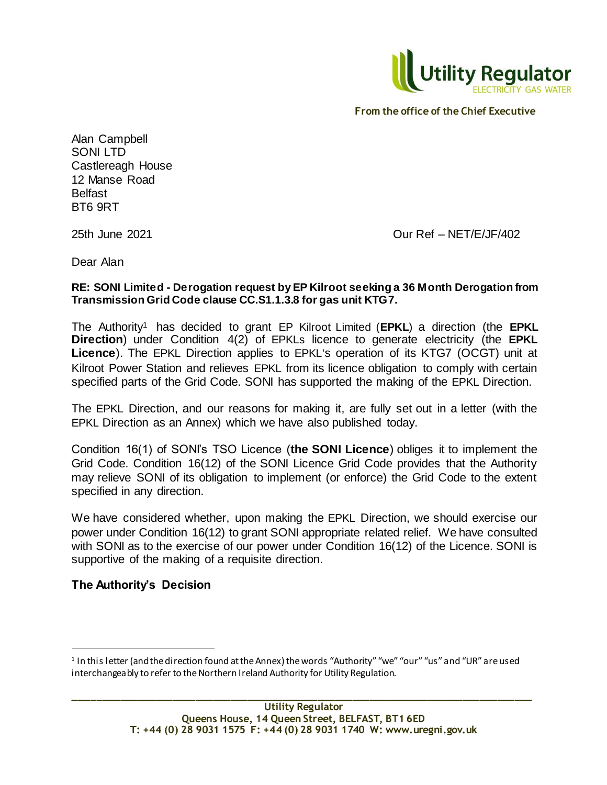

Alan Campbell SONI LTD Castlereagh House 12 Manse Road Belfast BT6 9RT

25th June 2021 Our Ref – NET/E/JF/402

Dear Alan

### **RE: SONI Limited - Derogation request by EP Kilroot seeking a 36 Month Derogation from Transmission Grid Code clause CC.S1.1.3.8 for gas unit KTG7.**

The Authority<sup>1</sup> has decided to grant EP Kilroot Limited (**EPKL**) a direction (the **EPKL Direction**) under Condition 4(2) of EPKLs licence to generate electricity (the **EPKL Licence**). The EPKL Direction applies to EPKL's operation of its KTG7 (OCGT) unit at Kilroot Power Station and relieves EPKL from its licence obligation to comply with certain specified parts of the Grid Code. SONI has supported the making of the EPKL Direction.

The EPKL Direction, and our reasons for making it, are fully set out in a letter (with the EPKL Direction as an Annex) which we have also published today.

Condition 16(1) of SONI's TSO Licence (**the SONI Licence**) obliges it to implement the Grid Code. Condition 16(12) of the SONI Licence Grid Code provides that the Authority may relieve SONI of its obligation to implement (or enforce) the Grid Code to the extent specified in any direction.

We have considered whether, upon making the EPKL Direction, we should exercise our power under Condition 16(12) to grant SONI appropriate related relief. We have consulted with SONI as to the exercise of our power under Condition 16(12) of the Licence. SONI is supportive of the making of a requisite direction.

# **The Authority's Decision**

l

<sup>1</sup> In this letter (and the direction found at the Annex) the words "Authority" "we" "our" "us" and "UR" are used interchangeably to refer to the Northern Ireland Authority for Utility Regulation.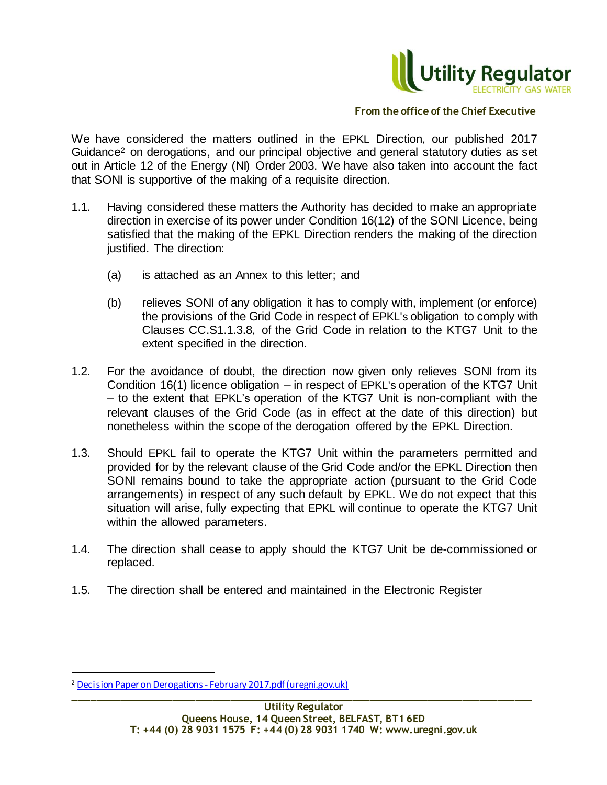

We have considered the matters outlined in the EPKL Direction, our published 2017 Guidance<sup>2</sup> on derogations, and our principal objective and general statutory duties as set out in Article 12 of the Energy (NI) Order 2003. We have also taken into account the fact that SONI is supportive of the making of a requisite direction.

- 1.1. Having considered these matters the Authority has decided to make an appropriate direction in exercise of its power under Condition 16(12) of the SONI Licence, being satisfied that the making of the EPKL Direction renders the making of the direction justified. The direction:
	- (a) is attached as an Annex to this letter; and
	- (b) relieves SONI of any obligation it has to comply with, implement (or enforce) the provisions of the Grid Code in respect of EPKL's obligation to comply with Clauses CC.S1.1.3.8, of the Grid Code in relation to the KTG7 Unit to the extent specified in the direction.
- 1.2. For the avoidance of doubt, the direction now given only relieves SONI from its Condition 16(1) licence obligation – in respect of EPKL's operation of the KTG7 Unit – to the extent that EPKL's operation of the KTG7 Unit is non-compliant with the relevant clauses of the Grid Code (as in effect at the date of this direction) but nonetheless within the scope of the derogation offered by the EPKL Direction.
- 1.3. Should EPKL fail to operate the KTG7 Unit within the parameters permitted and provided for by the relevant clause of the Grid Code and/or the EPKL Direction then SONI remains bound to take the appropriate action (pursuant to the Grid Code arrangements) in respect of any such default by EPKL. We do not expect that this situation will arise, fully expecting that EPKL will continue to operate the KTG7 Unit within the allowed parameters.
- 1.4. The direction shall cease to apply should the KTG7 Unit be de-commissioned or replaced.
- 1.5. The direction shall be entered and maintained in the Electronic Register

l

**\_\_\_\_\_\_\_\_\_\_\_\_\_\_\_\_\_\_\_\_\_\_\_\_\_\_\_\_\_\_\_\_\_\_\_\_\_\_\_\_\_\_\_\_\_\_\_\_\_\_\_\_\_\_\_\_\_\_\_\_\_\_\_\_\_\_\_\_\_\_\_\_\_\_\_\_\_\_\_** <sup>2</sup> Decision Paper on Derogations - [February 2017.pdf \(uregni.gov.uk\)](https://www.uregni.gov.uk/sites/uregni/files/media-files/Decision%20Paper%20on%20Derogations%20-%20February%202017.pdf)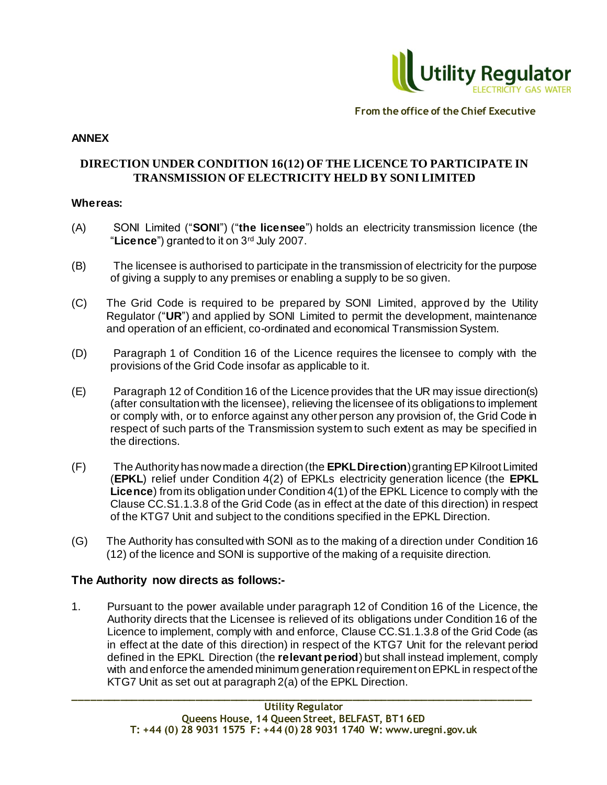

### **ANNEX**

# **DIRECTION UNDER CONDITION 16(12) OF THE LICENCE TO PARTICIPATE IN TRANSMISSION OF ELECTRICITY HELD BY SONI LIMITED**

### **Whereas:**

- (A) SONI Limited ("**SONI**") ("**the licensee**") holds an electricity transmission licence (the "**Licence**") granted to it on 3rd July 2007.
- (B) The licensee is authorised to participate in the transmission of electricity for the purpose of giving a supply to any premises or enabling a supply to be so given.
- (C) The Grid Code is required to be prepared by SONI Limited, approved by the Utility Regulator ("**UR**") and applied by SONI Limited to permit the development, maintenance and operation of an efficient, co-ordinated and economical Transmission System.
- (D) Paragraph 1 of Condition 16 of the Licence requires the licensee to comply with the provisions of the Grid Code insofar as applicable to it.
- (E) Paragraph 12 of Condition 16 of the Licence provides that the UR may issue direction(s) (after consultation with the licensee), relieving the licensee of its obligations to implement or comply with, or to enforce against any other person any provision of, the Grid Code in respect of such parts of the Transmission system to such extent as may be specified in the directions.
- (F) The Authority has now made a direction (the **EPKL Direction**) granting EP Kilroot Limited (**EPKL**) relief under Condition 4(2) of EPKLs electricity generation licence (the **EPKL Licence**) from its obligation under Condition 4(1) of the EPKL Licence to comply with the Clause CC.S1.1.3.8 of the Grid Code (as in effect at the date of this direction) in respect of the KTG7 Unit and subject to the conditions specified in the EPKL Direction.
- (G) The Authority has consulted with SONI as to the making of a direction under Condition 16 (12) of the licence and SONI is supportive of the making of a requisite direction.

# **The Authority now directs as follows:-**

1. Pursuant to the power available under paragraph 12 of Condition 16 of the Licence, the Authority directs that the Licensee is relieved of its obligations under Condition 16 of the Licence to implement, comply with and enforce, Clause CC.S1.1.3.8 of the Grid Code (as in effect at the date of this direction) in respect of the KTG7 Unit for the relevant period defined in the EPKL Direction (the **relevant period**) but shall instead implement, comply with and enforce the amended minimum generation requirement on EPKL in respect of the KTG7 Unit as set out at paragraph 2(a) of the EPKL Direction.

**\_\_\_\_\_\_\_\_\_\_\_\_\_\_\_\_\_\_\_\_\_\_\_\_\_\_\_\_\_\_\_\_\_\_\_\_\_\_\_\_\_\_\_\_\_\_\_\_\_\_\_\_\_\_\_\_\_\_\_\_\_\_\_\_\_\_\_\_\_\_\_\_\_\_\_\_\_\_\_**